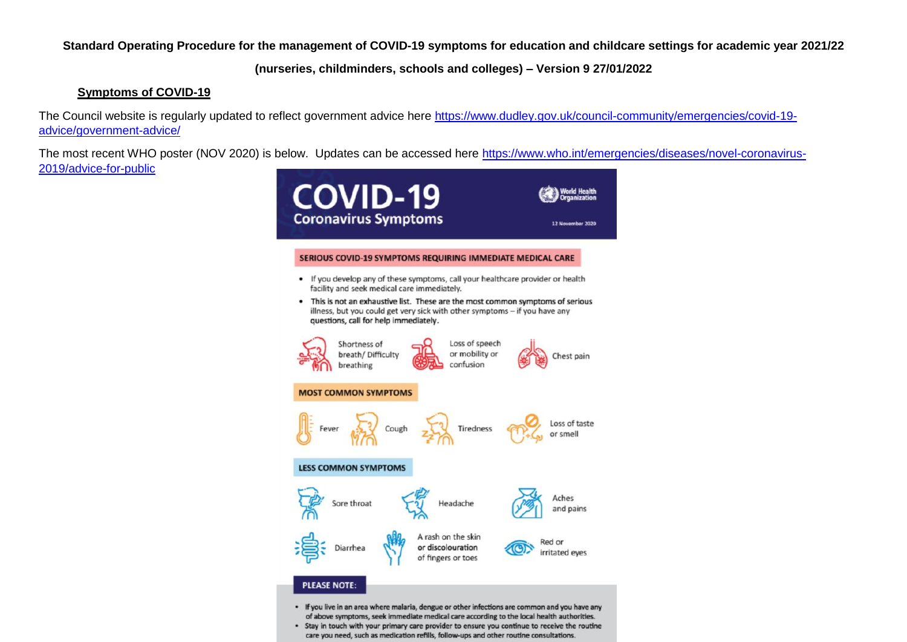**Standard Operating Procedure for the management of COVID-19 symptoms for education and childcare settings for academic year 2021/22**

**(nurseries, childminders, schools and colleges) – Version 9 27/01/2022**

## **Symptoms of COVID-19**

The Council website is regularly updated to reflect government advice here [https://www.dudley.gov.uk/council-community/emergencies/covid-19](https://www.dudley.gov.uk/council-community/emergencies/covid-19-advice/government-advice/) [advice/government-advice/](https://www.dudley.gov.uk/council-community/emergencies/covid-19-advice/government-advice/)

The most recent WHO poster (NOV 2020) is below. Updates can be accessed here [https://www.who.int/emergencies/diseases/novel-coronavirus-](https://www.who.int/emergencies/diseases/novel-coronavirus-2019/advice-for-public)[2019/advice-for-public](https://www.who.int/emergencies/diseases/novel-coronavirus-2019/advice-for-public) 



. Stay in touch with your primary care provider to ensure you continue to receive the routine care you need, such as medication refills, follow-ups and other routine consultations.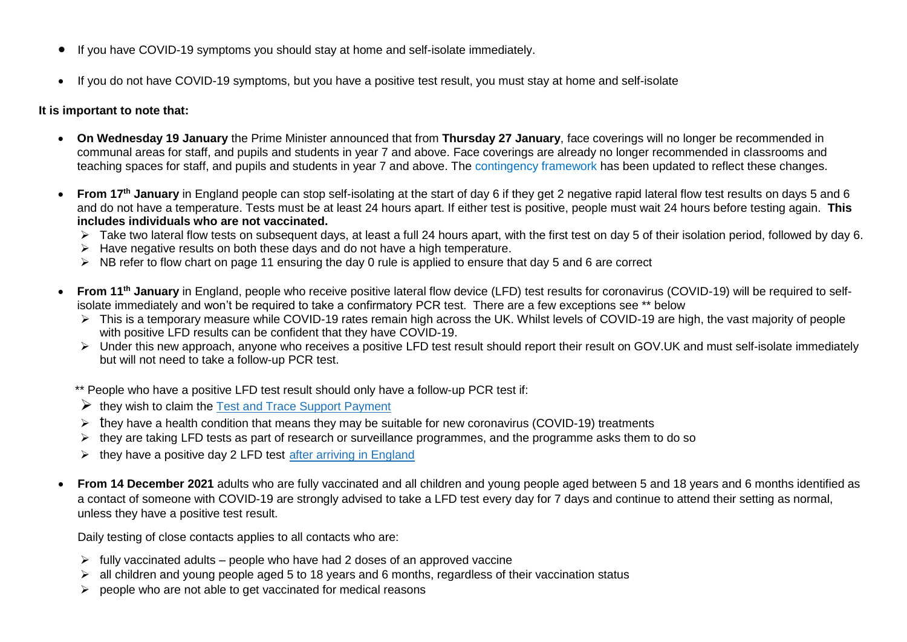- If you have COVID-19 [symptoms](https://www.gov.uk/government/publications/covid-19-stay-at-home-guidance/stay-at-home-guidance-for-households-with-possible-coronavirus-covid-19-infection#symptoms) you should stay at home and self-isolate immediately.
- If you do not have COVID-19 symptoms, but you have a positive test result, you must stay at home and self-isolate

## **It is important to note that:**

- **On Wednesday 19 January** the Prime Minister announced that from **Thursday 27 January**, face coverings will no longer be recommended in communal areas for staff, and pupils and students in year 7 and above. Face coverings are already no longer recommended in classrooms and teaching spaces for staff, and pupils and students in year 7 and above. The [contingency framework](https://www.gov.uk/government/publications/coronavirus-covid-19-local-restrictions-in-education-and-childcare-settings/contingency-framework-education-and-childcare-settings?utm_source=13%24January%202022%20C19&utm_medium=Daily%20Email%20C19&utm_campaign=DfE%20C19) has been updated to reflect these changes.
- From 17<sup>th</sup> January in England people can stop self-isolating at the start of day 6 if they get 2 negative rapid lateral flow test results on days 5 and 6 and do not have a temperature. Tests must be at least 24 hours apart. If either test is positive, people must wait 24 hours before testing again. **This includes individuals who are not vaccinated.**
	- ▶ Take two lateral flow tests on subsequent days, at least a full 24 hours apart, with the first test on day 5 of their isolation period, followed by day 6.
	- $\triangleright$  Have negative results on both these days and do not have a high temperature.
	- $\triangleright$  NB refer to flow chart on page 11 ensuring the day 0 rule is applied to ensure that day 5 and 6 are correct
- **From 11th January** in England, people who receive positive lateral flow device (LFD) test results for coronavirus (COVID-19) will be required to selfisolate immediately and won't be required to take a confirmatory PCR test. There are a few exceptions see \*\* below
	- This is a temporary measure while COVID-19 rates remain high across the UK. Whilst levels of COVID-19 are high, the vast majority of people with positive LFD results can be confident that they have COVID-19.
	- Under this new approach, anyone who receives a positive LFD test result should [report their result on GOV.UK](https://www.gov.uk/report-covid19-result) and must self-isolate immediately but will not need to take a follow-up PCR test.
	- \*\* People who have a positive LFD test result should only have a follow-up PCR test if:
	- $\triangleright$  they wish to claim the [Test and Trace Support Payment](https://www.gov.uk/government/publications/test-and-trace-support-payment-scheme-claiming-financial-support/claiming-financial-support-under-the-test-and-trace-support-payment-scheme)
	- $\triangleright$  they have a health condition that means they may be suitable for new coronavirus (COVID-19) treatments
	- $\triangleright$  they are taking LFD tests as part of research or surveillance programmes, and the programme asks them to do so
	- $\triangleright$  they have a positive day 2 LFD test [after arriving in England](https://www.gov.uk/guidance/travel-to-england-from-another-country-during-coronavirus-covid-19)
- **From 14 December 2021** adults who are fully vaccinated and all children and young people aged between 5 and 18 years and 6 months identified as a contact of someone with COVID-19 are strongly advised to take a LFD test every day for 7 days and continue to attend their setting as normal, unless they have a positive test result.

Daily testing of close contacts applies to all contacts who are:

- $\triangleright$  fully vaccinated adults people who have had 2 doses of an approved vaccine
- $\triangleright$  all children and young people aged 5 to 18 years and 6 months, regardless of their vaccination status
- $\triangleright$  people who are not able to get vaccinated for medical reasons